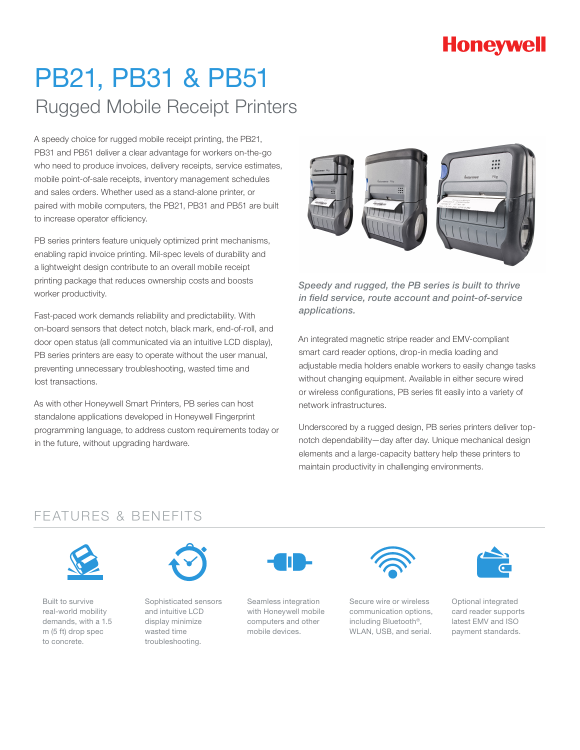# **Honeywell**

# PB21, PB31 & PB51 Rugged Mobile Receipt Printers

A speedy choice for rugged mobile receipt printing, the PB21, PB31 and PB51 deliver a clear advantage for workers on-the-go who need to produce invoices, delivery receipts, service estimates, mobile point-of-sale receipts, inventory management schedules and sales orders. Whether used as a stand-alone printer, or paired with mobile computers, the PB21, PB31 and PB51 are built to increase operator efficiency.

PB series printers feature uniquely optimized print mechanisms, enabling rapid invoice printing. Mil-spec levels of durability and a lightweight design contribute to an overall mobile receipt printing package that reduces ownership costs and boosts worker productivity.

Fast-paced work demands reliability and predictability. With on-board sensors that detect notch, black mark, end-of-roll, and door open status (all communicated via an intuitive LCD display), PB series printers are easy to operate without the user manual, preventing unnecessary troubleshooting, wasted time and lost transactions.

As with other Honeywell Smart Printers, PB series can host standalone applications developed in Honeywell Fingerprint programming language, to address custom requirements today or in the future, without upgrading hardware.



*Speedy and rugged, the PB series is built to thrive in field service, route account and point-of-service applications.* 

An integrated magnetic stripe reader and EMV-compliant smart card reader options, drop-in media loading and adjustable media holders enable workers to easily change tasks without changing equipment. Available in either secure wired or wireless configurations, PB series fit easily into a variety of network infrastructures.

Underscored by a rugged design, PB series printers deliver topnotch dependability—day after day. Unique mechanical design elements and a large-capacity battery help these printers to maintain productivity in challenging environments.

### FEATURES & BENEFITS



Built to survive real-world mobility demands, with a 1.5 m (5 ft) drop spec to concrete.



Sophisticated sensors and intuitive LCD display minimize wasted time troubleshooting.



Seamless integration with Honeywell mobile computers and other mobile devices.



Secure wire or wireless communication options, including Bluetooth®, WLAN, USB, and serial.



Optional integrated card reader supports latest EMV and ISO payment standards.